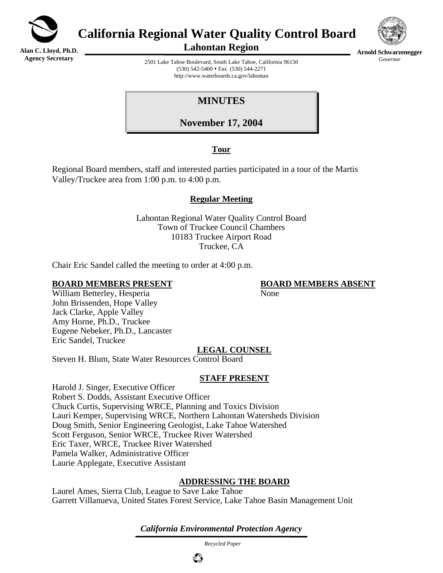

**Alan C. Lloyd, Ph.D. Agency Secretary**

**California Regional Water Quality Control Board** 



**Lahontan Region** 

**Arnold Schwarzenegger** *Governor* 

2501 Lake Tahoe Boulevard, South Lake Tahoe, California 96150  $(530)$  542-5400 • Fax  $(530)$  544-2271 http://www.waterboards.ca.gov/lahontan

**MINUTES** 

**November 17, 2004**

## **Tour**

Regional Board members, staff and interested parties participated in a tour of the Martis Valley/Truckee area from 1:00 p.m. to 4:00 p.m.

# **Regular Meeting**

Lahontan Regional Water Quality Control Board Town of Truckee Council Chambers 10183 Truckee Airport Road Truckee, CA

Chair Eric Sandel called the meeting to order at 4:00 p.m.

### **BOARD MEMBERS PRESENT BOARD MEMBERS ABSENT**

William Betterley, Hesperia None John Brissenden, Hope Valley Jack Clarke, Apple Valley Amy Horne, Ph.D., Truckee Eugene Nebeker, Ph.D., Lancaster Eric Sandel, Truckee

# **LEGAL COUNSEL**

Steven H. Blum, State Water Resources Control Board

## **STAFF PRESENT**

Harold J. Singer, Executive Officer Robert S. Dodds, Assistant Executive Officer Chuck Curtis, Supervising WRCE, Planning and Toxics Division Lauri Kemper, Supervising WRCE, Northern Lahontan Watersheds Division Doug Smith, Senior Engineering Geologist, Lake Tahoe Watershed Scott Ferguson, Senior WRCE, Truckee River Watershed Eric Taxer, WRCE, Truckee River Watershed Pamela Walker, Administrative Officer Laurie Applegate, Executive Assistant

# **ADDRESSING THE BOARD**

Laurel Ames, Sierra Club, League to Save Lake Tahoe Garrett Villanueva, United States Forest Service, Lake Tahoe Basin Management Unit

*California Environmental Protection Agency*

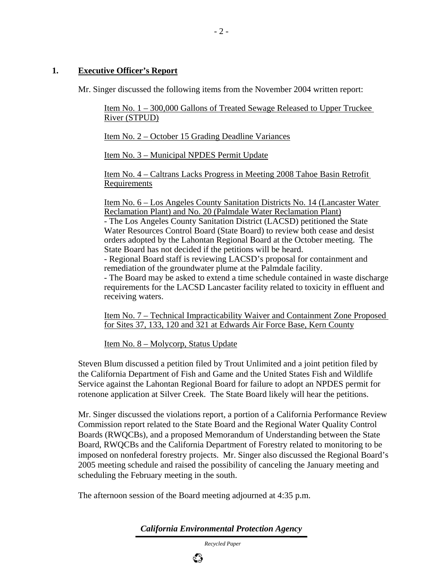### **1. Executive Officer's Report**

Mr. Singer discussed the following items from the November 2004 written report:

Item No. 1 – 300,000 Gallons of Treated Sewage Released to Upper Truckee River (STPUD)

Item No. 2 – October 15 Grading Deadline Variances

Item No. 3 – Municipal NPDES Permit Update

Item No. 4 – Caltrans Lacks Progress in Meeting 2008 Tahoe Basin Retrofit **Requirements** 

Item No. 6 – Los Angeles County Sanitation Districts No. 14 (Lancaster Water Reclamation Plant) and No. 20 (Palmdale Water Reclamation Plant)

- The Los Angeles County Sanitation District (LACSD) petitioned the State Water Resources Control Board (State Board) to review both cease and desist orders adopted by the Lahontan Regional Board at the October meeting. The State Board has not decided if the petitions will be heard.

- Regional Board staff is reviewing LACSD's proposal for containment and remediation of the groundwater plume at the Palmdale facility.

- The Board may be asked to extend a time schedule contained in waste discharge requirements for the LACSD Lancaster facility related to toxicity in effluent and receiving waters.

Item No. 7 – Technical Impracticability Waiver and Containment Zone Proposed for Sites 37, 133, 120 and 321 at Edwards Air Force Base, Kern County

Item No. 8 – Molycorp, Status Update

Steven Blum discussed a petition filed by Trout Unlimited and a joint petition filed by the California Department of Fish and Game and the United States Fish and Wildlife Service against the Lahontan Regional Board for failure to adopt an NPDES permit for rotenone application at Silver Creek. The State Board likely will hear the petitions.

Mr. Singer discussed the violations report, a portion of a California Performance Review Commission report related to the State Board and the Regional Water Quality Control Boards (RWQCBs), and a proposed Memorandum of Understanding between the State Board, RWQCBs and the California Department of Forestry related to monitoring to be imposed on nonfederal forestry projects. Mr. Singer also discussed the Regional Board's 2005 meeting schedule and raised the possibility of canceling the January meeting and scheduling the February meeting in the south.

The afternoon session of the Board meeting adjourned at 4:35 p.m.

ಭಿ

*California Environmental Protection Agency*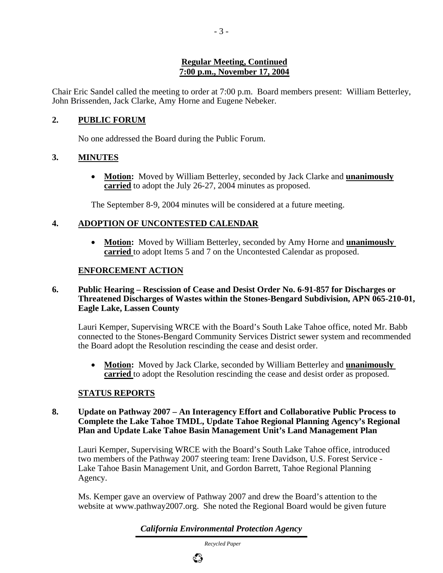### **Regular Meeting, Continued 7:00 p.m., November 17, 2004**

Chair Eric Sandel called the meeting to order at 7:00 p.m. Board members present: William Betterley, John Brissenden, Jack Clarke, Amy Horne and Eugene Nebeker.

# **2. PUBLIC FORUM**

No one addressed the Board during the Public Forum.

## **3. MINUTES**

• **Motion:** Moved by William Betterley, seconded by Jack Clarke and **unanimously carried** to adopt the July 26-27, 2004 minutes as proposed.

The September 8-9, 2004 minutes will be considered at a future meeting.

# **4. ADOPTION OF UNCONTESTED CALENDAR**

• **Motion:** Moved by William Betterley, seconded by Amy Horne and **unanimously carried** to adopt Items 5 and 7 on the Uncontested Calendar as proposed.

# **ENFORCEMENT ACTION**

#### **6. Public Hearing – Rescission of Cease and Desist Order No. 6-91-857 for Discharges or Threatened Discharges of Wastes within the Stones-Bengard Subdivision, APN 065-210-01, Eagle Lake, Lassen County**

Lauri Kemper, Supervising WRCE with the Board's South Lake Tahoe office, noted Mr. Babb connected to the Stones-Bengard Community Services District sewer system and recommended the Board adopt the Resolution rescinding the cease and desist order.

• **Motion:** Moved by Jack Clarke, seconded by William Betterley and **unanimously carried** to adopt the Resolution rescinding the cease and desist order as proposed.

## **STATUS REPORTS**

### **8. Update on Pathway 2007 – An Interagency Effort and Collaborative Public Process to Complete the Lake Tahoe TMDL, Update Tahoe Regional Planning Agency's Regional Plan and Update Lake Tahoe Basin Management Unit's Land Management Plan**

Lauri Kemper, Supervising WRCE with the Board's South Lake Tahoe office, introduced two members of the Pathway 2007 steering team: Irene Davidson, U.S. Forest Service - Lake Tahoe Basin Management Unit, and Gordon Barrett, Tahoe Regional Planning Agency.

Ms. Kemper gave an overview of Pathway 2007 and drew the Board's attention to the website at www.pathway2007.org. She noted the Regional Board would be given future

*California Environmental Protection Agency*